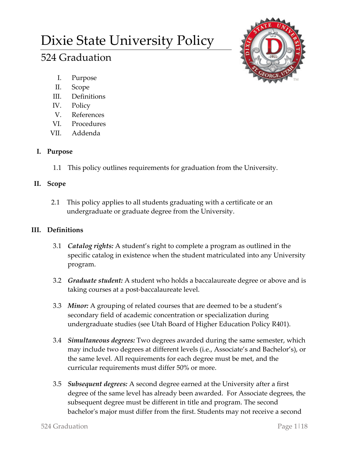# Dixie State University Policy

# 524 Graduation



- I. Purpose
- II. Scope
- III. Definitions
- IV. Policy
- V. References
- VI. Procedures
- VII. Addenda

# **I. Purpose**

1.1 This policy outlines requirements for graduation from the University.

# **II. Scope**

2.1 This policy applies to all students graduating with a certificate or an undergraduate or graduate degree from the University.

# **III. Definitions**

- 3.1 *Catalog rights:* A student's right to complete a program as outlined in the specific catalog in existence when the student matriculated into any University program.
- 3.2 *Graduate student:* A student who holds a baccalaureate degree or above and is taking courses at a post-baccalaureate level.
- 3.3 *Minor:* A grouping of related courses that are deemed to be a student's secondary field of academic concentration or specialization during undergraduate studies (see Utah Board of Higher Education Policy R401).
- 3.4 *Simultaneous degrees:* Two degrees awarded during the same semester, which may include two degrees at different levels (i.e., Associate's and Bachelor's), or the same level. All requirements for each degree must be met, and the curricular requirements must differ 50% or more.
- 3.5 *Subsequent degrees:* A second degree earned at the University after a first degree of the same level has already been awarded. For Associate degrees, the subsequent degree must be different in title and program. The second bachelor's major must differ from the first. Students may not receive a second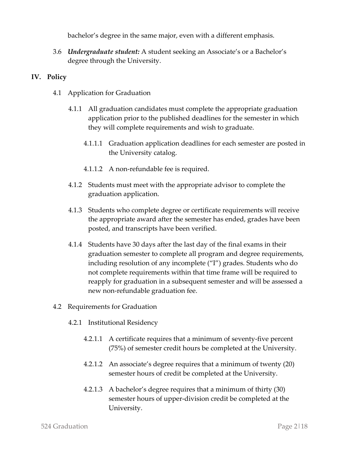bachelor's degree in the same major, even with a different emphasis.

3.6 *Undergraduate student:* A student seeking an Associate's or a Bachelor's degree through the University.

#### **IV. Policy**

- 4.1 Application for Graduation
	- 4.1.1 All graduation candidates must complete the appropriate graduation application prior to the published deadlines for the semester in which they will complete requirements and wish to graduate.
		- 4.1.1.1 Graduation application deadlines for each semester are posted in the University catalog.
		- 4.1.1.2 A non-refundable fee is required.
	- 4.1.2 Students must meet with the appropriate advisor to complete the graduation application.
	- 4.1.3 Students who complete degree or certificate requirements will receive the appropriate award after the semester has ended, grades have been posted, and transcripts have been verified.
	- 4.1.4 Students have 30 days after the last day of the final exams in their graduation semester to complete all program and degree requirements, including resolution of any incomplete ("I") grades. Students who do not complete requirements within that time frame will be required to reapply for graduation in a subsequent semester and will be assessed a new non-refundable graduation fee.
- 4.2 Requirements for Graduation
	- 4.2.1 Institutional Residency
		- 4.2.1.1 A certificate requires that a minimum of seventy-five percent (75%) of semester credit hours be completed at the University.
		- 4.2.1.2 An associate's degree requires that a minimum of twenty (20) semester hours of credit be completed at the University.
		- 4.2.1.3 A bachelor's degree requires that a minimum of thirty (30) semester hours of upper-division credit be completed at the University.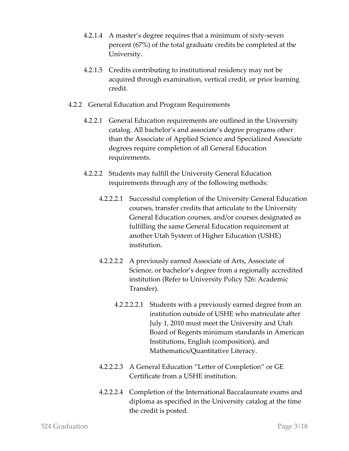- 4.2.1.4 A master's degree requires that a minimum of sixty-seven percent (67%) of the total graduate credits be completed at the University.
- 4.2.1.5 Credits contributing to institutional residency may not be acquired through examination, vertical credit, or prior learning credit.
- 4.2.2 General Education and Program Requirements
	- 4.2.2.1 General Education requirements are outlined in the University catalog. All bachelor's and associate's degree programs other than the Associate of Applied Science and Specialized Associate degrees require completion of all General Education requirements.
	- 4.2.2.2 Students may fulfill the University General Education requirements through any of the following methods:
		- 4.2.2.2.1 Successful completion of the University General Education courses, transfer credits that articulate to the University General Education courses, and/or courses designated as fulfilling the same General Education requirement at another Utah System of Higher Education (USHE) institution.
		- 4.2.2.2.2 A previously earned Associate of Arts, Associate of Science, or bachelor's degree from a regionally accredited institution (Refer to University Policy 526: Academic Transfer).
			- 4.2.2.2.2.1 Students with a previously earned degree from an institution outside of USHE who matriculate after July 1, 2010 must meet the University and Utah Board of Regents minimum standards in American Institutions, English (composition), and Mathematics/Quantitative Literacy.
		- 4.2.2.2.3 A General Education "Letter of Completion" or GE Certificate from a USHE institution.
		- 4.2.2.2.4 Completion of the International Baccalaureate exams and diploma as specified in the University catalog at the time the credit is posted.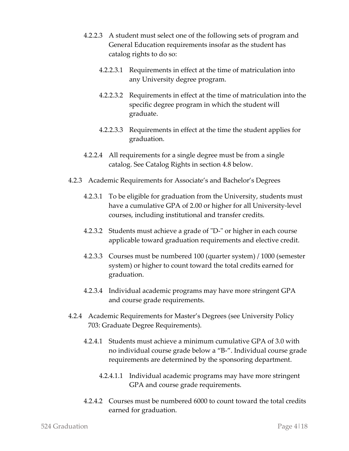- 4.2.2.3 A student must select one of the following sets of program and General Education requirements insofar as the student has catalog rights to do so:
	- 4.2.2.3.1 Requirements in effect at the time of matriculation into any University degree program.
	- 4.2.2.3.2 Requirements in effect at the time of matriculation into the specific degree program in which the student will graduate.
	- 4.2.2.3.3 Requirements in effect at the time the student applies for graduation.
- 4.2.2.4 All requirements for a single degree must be from a single catalog. See Catalog Rights in section 4.8 below.
- 4.2.3 Academic Requirements for Associate's and Bachelor's Degrees
	- 4.2.3.1 To be eligible for graduation from the University, students must have a cumulative GPA of 2.00 or higher for all University-level courses, including institutional and transfer credits.
	- 4.2.3.2 Students must achieve a grade of "D-" or higher in each course applicable toward graduation requirements and elective credit.
	- 4.2.3.3 Courses must be numbered 100 (quarter system) / 1000 (semester system) or higher to count toward the total credits earned for graduation.
	- 4.2.3.4 Individual academic programs may have more stringent GPA and course grade requirements.
- 4.2.4 Academic Requirements for Master's Degrees (see University Policy 703: Graduate Degree Requirements).
	- 4.2.4.1 Students must achieve a minimum cumulative GPA of 3.0 with no individual course grade below a "B-". Individual course grade requirements are determined by the sponsoring department.
		- 4.2.4.1.1 Individual academic programs may have more stringent GPA and course grade requirements.
	- 4.2.4.2 Courses must be numbered 6000 to count toward the total credits earned for graduation.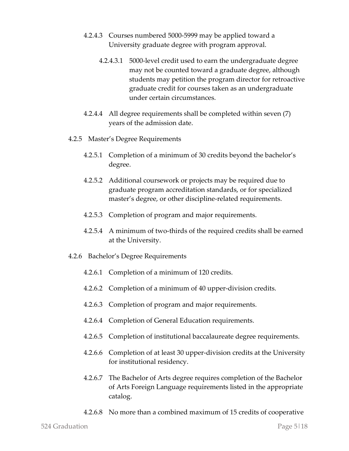- 4.2.4.3 Courses numbered 5000-5999 may be applied toward a University graduate degree with program approval.
	- 4.2.4.3.1 5000-level credit used to earn the undergraduate degree may not be counted toward a graduate degree, although students may petition the program director for retroactive graduate credit for courses taken as an undergraduate under certain circumstances.
- 4.2.4.4 All degree requirements shall be completed within seven (7) years of the admission date.
- 4.2.5 Master's Degree Requirements
	- 4.2.5.1 Completion of a minimum of 30 credits beyond the bachelor's degree.
	- 4.2.5.2 Additional coursework or projects may be required due to graduate program accreditation standards, or for specialized master's degree, or other discipline-related requirements.
	- 4.2.5.3 Completion of program and major requirements.
	- 4.2.5.4 A minimum of two-thirds of the required credits shall be earned at the University.
- 4.2.6 Bachelor's Degree Requirements
	- 4.2.6.1 Completion of a minimum of 120 credits.
	- 4.2.6.2 Completion of a minimum of 40 upper-division credits.
	- 4.2.6.3 Completion of program and major requirements.
	- 4.2.6.4 Completion of General Education requirements.
	- 4.2.6.5 Completion of institutional baccalaureate degree requirements.
	- 4.2.6.6 Completion of at least 30 upper-division credits at the University for institutional residency.
	- 4.2.6.7 The Bachelor of Arts degree requires completion of the Bachelor of Arts Foreign Language requirements listed in the appropriate catalog.
	- 4.2.6.8 No more than a combined maximum of 15 credits of cooperative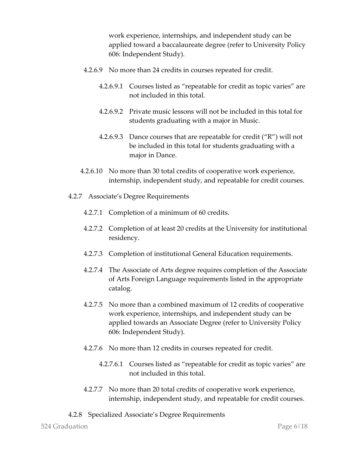work experience, internships, and independent study can be applied toward a baccalaureate degree (refer to University Policy 606: Independent Study).

- 4.2.6.9 No more than 24 credits in courses repeated for credit.
	- 4.2.6.9.1 Courses listed as "repeatable for credit as topic varies" are not included in this total.
	- 4.2.6.9.2 Private music lessons will not be included in this total for students graduating with a major in Music.
	- 4.2.6.9.3 Dance courses that are repeatable for credit ("R") will not be included in this total for students graduating with a major in Dance.
- 4.2.6.10 No more than 30 total credits of cooperative work experience, internship, independent study, and repeatable for credit courses.
- 4.2.7 Associate's Degree Requirements
	- 4.2.7.1 Completion of a minimum of 60 credits.
	- 4.2.7.2 Completion of at least 20 credits at the University for institutional residency.
	- 4.2.7.3 Completion of institutional General Education requirements.
	- 4.2.7.4 The Associate of Arts degree requires completion of the Associate of Arts Foreign Language requirements listed in the appropriate catalog.
	- 4.2.7.5 No more than a combined maximum of 12 credits of cooperative work experience, internships, and independent study can be applied towards an Associate Degree (refer to University Policy 606: Independent Study).
	- 4.2.7.6 No more than 12 credits in courses repeated for credit.
		- 4.2.7.6.1 Courses listed as "repeatable for credit as topic varies" are not included in this total.
	- 4.2.7.7 No more than 20 total credits of cooperative work experience, internship, independent study, and repeatable for credit courses.
- 4.2.8 Specialized Associate's Degree Requirements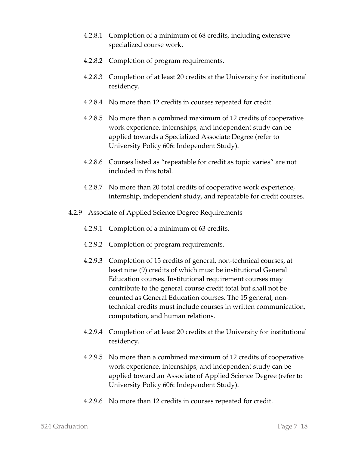- 4.2.8.1 Completion of a minimum of 68 credits, including extensive specialized course work.
- 4.2.8.2 Completion of program requirements.
- 4.2.8.3 Completion of at least 20 credits at the University for institutional residency.
- 4.2.8.4 No more than 12 credits in courses repeated for credit.
- 4.2.8.5 No more than a combined maximum of 12 credits of cooperative work experience, internships, and independent study can be applied towards a Specialized Associate Degree (refer to University Policy 606: Independent Study).
- 4.2.8.6 Courses listed as "repeatable for credit as topic varies" are not included in this total.
- 4.2.8.7 No more than 20 total credits of cooperative work experience, internship, independent study, and repeatable for credit courses.
- 4.2.9 Associate of Applied Science Degree Requirements
	- 4.2.9.1 Completion of a minimum of 63 credits.
	- 4.2.9.2 Completion of program requirements.
	- 4.2.9.3 Completion of 15 credits of general, non-technical courses, at least nine (9) credits of which must be institutional General Education courses. Institutional requirement courses may contribute to the general course credit total but shall not be counted as General Education courses. The 15 general, nontechnical credits must include courses in written communication, computation, and human relations.
	- 4.2.9.4 Completion of at least 20 credits at the University for institutional residency.
	- 4.2.9.5 No more than a combined maximum of 12 credits of cooperative work experience, internships, and independent study can be applied toward an Associate of Applied Science Degree (refer to University Policy 606: Independent Study).
	- 4.2.9.6 No more than 12 credits in courses repeated for credit.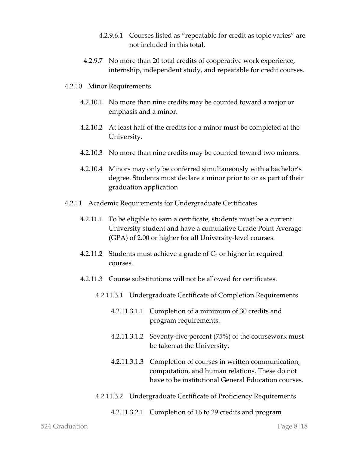- 4.2.9.6.1 Courses listed as "repeatable for credit as topic varies" are not included in this total.
- 4.2.9.7 No more than 20 total credits of cooperative work experience, internship, independent study, and repeatable for credit courses.
- 4.2.10 Minor Requirements
	- 4.2.10.1 No more than nine credits may be counted toward a major or emphasis and a minor.
	- 4.2.10.2 At least half of the credits for a minor must be completed at the University.
	- 4.2.10.3 No more than nine credits may be counted toward two minors.
	- 4.2.10.4 Minors may only be conferred simultaneously with a bachelor's degree. Students must declare a minor prior to or as part of their graduation application
- 4.2.11 Academic Requirements for Undergraduate Certificates
	- 4.2.11.1 To be eligible to earn a certificate, students must be a current University student and have a cumulative Grade Point Average (GPA) of 2.00 or higher for all University-level courses.
	- 4.2.11.2 Students must achieve a grade of C- or higher in required courses.
	- 4.2.11.3 Course substitutions will not be allowed for certificates.
		- 4.2.11.3.1 Undergraduate Certificate of Completion Requirements
			- 4.2.11.3.1.1 Completion of a minimum of 30 credits and program requirements.
			- 4.2.11.3.1.2 Seventy-five percent (75%) of the coursework must be taken at the University.
			- 4.2.11.3.1.3 Completion of courses in written communication, computation, and human relations. These do not have to be institutional General Education courses.
		- 4.2.11.3.2 Undergraduate Certificate of Proficiency Requirements
			- 4.2.11.3.2.1 Completion of 16 to 29 credits and program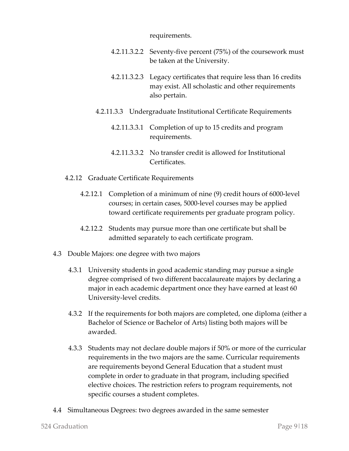requirements.

- 4.2.11.3.2.2 Seventy-five percent (75%) of the coursework must be taken at the University.
- 4.2.11.3.2.3 Legacy certificates that require less than 16 credits may exist. All scholastic and other requirements also pertain.
- 4.2.11.3.3 Undergraduate Institutional Certificate Requirements
	- 4.2.11.3.3.1 Completion of up to 15 credits and program requirements.
	- 4.2.11.3.3.2 No transfer credit is allowed for Institutional Certificates.
- 4.2.12 Graduate Certificate Requirements
	- 4.2.12.1 Completion of a minimum of nine (9) credit hours of 6000-level courses; in certain cases, 5000-level courses may be applied toward certificate requirements per graduate program policy.
	- 4.2.12.2 Students may pursue more than one certificate but shall be admitted separately to each certificate program.
- 4.3 Double Majors: one degree with two majors
	- 4.3.1 University students in good academic standing may pursue a single degree comprised of two different baccalaureate majors by declaring a major in each academic department once they have earned at least 60 University-level credits.
	- 4.3.2 If the requirements for both majors are completed, one diploma (either a Bachelor of Science or Bachelor of Arts) listing both majors will be awarded.
	- 4.3.3 Students may not declare double majors if 50% or more of the curricular requirements in the two majors are the same. Curricular requirements are requirements beyond General Education that a student must complete in order to graduate in that program, including specified elective choices. The restriction refers to program requirements, not specific courses a student completes.
- 4.4 Simultaneous Degrees: two degrees awarded in the same semester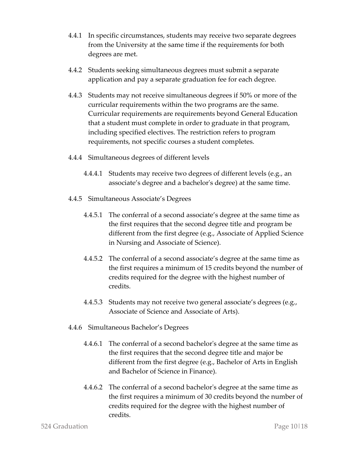- 4.4.1 In specific circumstances, students may receive two separate degrees from the University at the same time if the requirements for both degrees are met.
- 4.4.2 Students seeking simultaneous degrees must submit a separate application and pay a separate graduation fee for each degree.
- 4.4.3 Students may not receive simultaneous degrees if 50% or more of the curricular requirements within the two programs are the same. Curricular requirements are requirements beyond General Education that a student must complete in order to graduate in that program, including specified electives. The restriction refers to program requirements, not specific courses a student completes.
- 4.4.4 Simultaneous degrees of different levels
	- 4.4.4.1 Students may receive two degrees of different levels (e.g., an associate's degree and a bachelor's degree) at the same time.
- 4.4.5 Simultaneous Associate's Degrees
	- 4.4.5.1 The conferral of a second associate's degree at the same time as the first requires that the second degree title and program be different from the first degree (e.g., Associate of Applied Science in Nursing and Associate of Science).
	- 4.4.5.2 The conferral of a second associate's degree at the same time as the first requires a minimum of 15 credits beyond the number of credits required for the degree with the highest number of credits.
	- 4.4.5.3 Students may not receive two general associate's degrees (e.g., Associate of Science and Associate of Arts).
- 4.4.6 Simultaneous Bachelor's Degrees
	- 4.4.6.1 The conferral of a second bachelor's degree at the same time as the first requires that the second degree title and major be different from the first degree (e.g., Bachelor of Arts in English and Bachelor of Science in Finance).
	- 4.4.6.2 The conferral of a second bachelor's degree at the same time as the first requires a minimum of 30 credits beyond the number of credits required for the degree with the highest number of credits.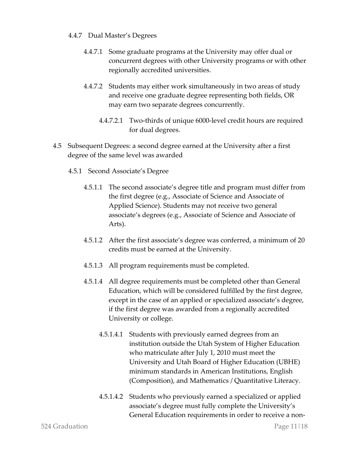#### 4.4.7 Dual Master's Degrees

- 4.4.7.1 Some graduate programs at the University may offer dual or concurrent degrees with other University programs or with other regionally accredited universities.
- 4.4.7.2 Students may either work simultaneously in two areas of study and receive one graduate degree representing both fields, OR may earn two separate degrees concurrently.
	- 4.4.7.2.1 Two-thirds of unique 6000-level credit hours are required for dual degrees.
- 4.5 Subsequent Degrees: a second degree earned at the University after a first degree of the same level was awarded
	- 4.5.1 Second Associate's Degree
		- 4.5.1.1 The second associate's degree title and program must differ from the first degree (e.g., Associate of Science and Associate of Applied Science). Students may not receive two general associate's degrees (e.g., Associate of Science and Associate of Arts).
		- 4.5.1.2 After the first associate's degree was conferred, a minimum of 20 credits must be earned at the University.
		- 4.5.1.3 All program requirements must be completed.
		- 4.5.1.4 All degree requirements must be completed other than General Education, which will be considered fulfilled by the first degree, except in the case of an applied or specialized associate's degree, if the first degree was awarded from a regionally accredited University or college.
			- 4.5.1.4.1 Students with previously earned degrees from an institution outside the Utah System of Higher Education who matriculate after July 1, 2010 must meet the University and Utah Board of Higher Education (UBHE) minimum standards in American Institutions, English (Composition), and Mathematics / Quantitative Literacy.
			- 4.5.1.4.2 Students who previously earned a specialized or applied associate's degree must fully complete the University's General Education requirements in order to receive a non-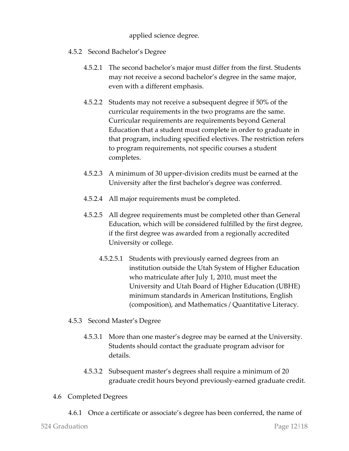applied science degree.

- 4.5.2 Second Bachelor's Degree
	- 4.5.2.1 The second bachelor's major must differ from the first. Students may not receive a second bachelor's degree in the same major, even with a different emphasis.
	- 4.5.2.2 Students may not receive a subsequent degree if 50% of the curricular requirements in the two programs are the same. Curricular requirements are requirements beyond General Education that a student must complete in order to graduate in that program, including specified electives. The restriction refers to program requirements, not specific courses a student completes.
	- 4.5.2.3 A minimum of 30 upper-division credits must be earned at the University after the first bachelor's degree was conferred.
	- 4.5.2.4 All major requirements must be completed.
	- 4.5.2.5 All degree requirements must be completed other than General Education, which will be considered fulfilled by the first degree, if the first degree was awarded from a regionally accredited University or college.
		- 4.5.2.5.1 Students with previously earned degrees from an institution outside the Utah System of Higher Education who matriculate after July 1, 2010, must meet the University and Utah Board of Higher Education (UBHE) minimum standards in American Institutions, English (composition), and Mathematics / Quantitative Literacy.
- 4.5.3 Second Master's Degree
	- 4.5.3.1 More than one master's degree may be earned at the University. Students should contact the graduate program advisor for details.
	- 4.5.3.2 Subsequent master's degrees shall require a minimum of 20 graduate credit hours beyond previously-earned graduate credit.
- 4.6 Completed Degrees
	- 4.6.1 Once a certificate or associate's degree has been conferred, the name of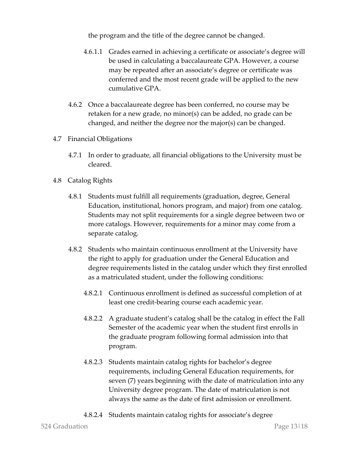the program and the title of the degree cannot be changed.

- 4.6.1.1 Grades earned in achieving a certificate or associate's degree will be used in calculating a baccalaureate GPA. However, a course may be repeated after an associate's degree or certificate was conferred and the most recent grade will be applied to the new cumulative GPA.
- 4.6.2 Once a baccalaureate degree has been conferred, no course may be retaken for a new grade, no minor(s) can be added, no grade can be changed, and neither the degree nor the major(s) can be changed.
- 4.7 Financial Obligations
	- 4.7.1 In order to graduate, all financial obligations to the University must be cleared.
- 4.8 Catalog Rights
	- 4.8.1 Students must fulfill all requirements (graduation, degree, General Education, institutional, honors program, and major) from one catalog. Students may not split requirements for a single degree between two or more catalogs. However, requirements for a minor may come from a separate catalog.
	- 4.8.2 Students who maintain continuous enrollment at the University have the right to apply for graduation under the General Education and degree requirements listed in the catalog under which they first enrolled as a matriculated student, under the following conditions:
		- 4.8.2.1 Continuous enrollment is defined as successful completion of at least one credit-bearing course each academic year.
		- 4.8.2.2 A graduate student's catalog shall be the catalog in effect the Fall Semester of the academic year when the student first enrolls in the graduate program following formal admission into that program.
		- 4.8.2.3 Students maintain catalog rights for bachelor's degree requirements, including General Education requirements, for seven (7) years beginning with the date of matriculation into any University degree program. The date of matriculation is not always the same as the date of first admission or enrollment.
		- 4.8.2.4 Students maintain catalog rights for associate's degree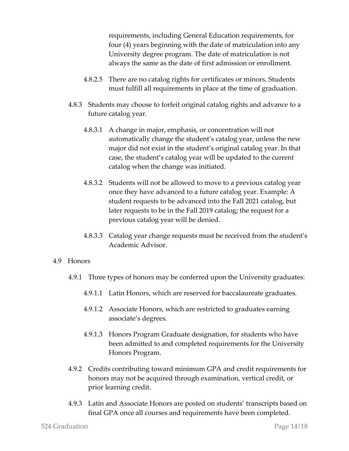requirements, including General Education requirements, for four (4) years beginning with the date of matriculation into any University degree program. The date of matriculation is not always the same as the date of first admission or enrollment.

- 4.8.2.5 There are no catalog rights for certificates or minors. Students must fulfill all requirements in place at the time of graduation.
- 4.8.3 Students may choose to forfeit original catalog rights and advance to a future catalog year.
	- 4.8.3.1 A change in major, emphasis, or concentration will not automatically change the student's catalog year, unless the new major did not exist in the student's original catalog year. In that case, the student's catalog year will be updated to the current catalog when the change was initiated.
	- 4.8.3.2 Students will not be allowed to move to a previous catalog year once they have advanced to a future catalog year. Example: A student requests to be advanced into the Fall 2021 catalog, but later requests to be in the Fall 2019 catalog; the request for a previous catalog year will be denied.
	- 4.8.3.3 Catalog year change requests must be received from the student's Academic Advisor.

#### 4.9 Honors

- 4.9.1 Three types of honors may be conferred upon the University graduates:
	- 4.9.1.1 Latin Honors, which are reserved for baccalaureate graduates.
	- 4.9.1.2 Associate Honors, which are restricted to graduates earning associate's degrees.
	- 4.9.1.3 Honors Program Graduate designation, for students who have been admitted to and completed requirements for the University Honors Program.
- 4.9.2 Credits contributing toward minimum GPA and credit requirements for honors may not be acquired through examination, vertical credit, or prior learning credit.
- 4.9.3 Latin and Associate Honors are posted on students' transcripts based on final GPA once all courses and requirements have been completed.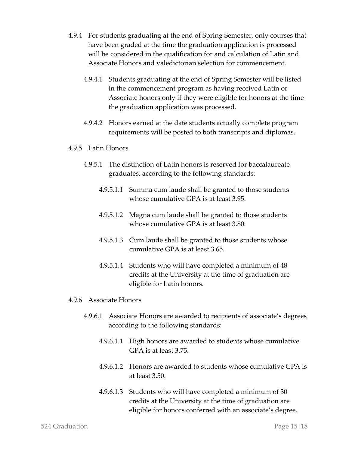- 4.9.4 For students graduating at the end of Spring Semester, only courses that have been graded at the time the graduation application is processed will be considered in the qualification for and calculation of Latin and Associate Honors and valedictorian selection for commencement.
	- 4.9.4.1 Students graduating at the end of Spring Semester will be listed in the commencement program as having received Latin or Associate honors only if they were eligible for honors at the time the graduation application was processed.
	- 4.9.4.2 Honors earned at the date students actually complete program requirements will be posted to both transcripts and diplomas.
- 4.9.5 Latin Honors
	- 4.9.5.1 The distinction of Latin honors is reserved for baccalaureate graduates, according to the following standards:
		- 4.9.5.1.1 Summa cum laude shall be granted to those students whose cumulative GPA is at least 3.95.
		- 4.9.5.1.2 Magna cum laude shall be granted to those students whose cumulative GPA is at least 3.80.
		- 4.9.5.1.3 Cum laude shall be granted to those students whose cumulative GPA is at least 3.65.
		- 4.9.5.1.4 Students who will have completed a minimum of 48 credits at the University at the time of graduation are eligible for Latin honors.
- 4.9.6 Associate Honors
	- 4.9.6.1 Associate Honors are awarded to recipients of associate's degrees according to the following standards:
		- 4.9.6.1.1 High honors are awarded to students whose cumulative GPA is at least 3.75.
		- 4.9.6.1.2 Honors are awarded to students whose cumulative GPA is at least 3.50.
		- 4.9.6.1.3 Students who will have completed a minimum of 30 credits at the University at the time of graduation are eligible for honors conferred with an associate's degree.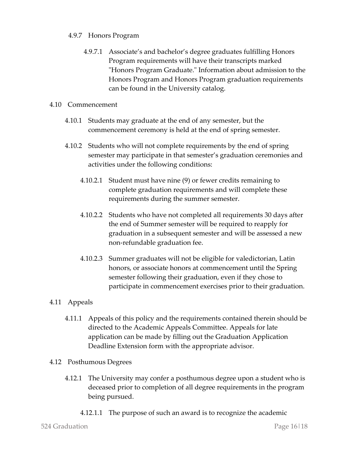#### 4.9.7 Honors Program

4.9.7.1 Associate's and bachelor's degree graduates fulfilling Honors Program requirements will have their transcripts marked "Honors Program Graduate." Information about admission to the Honors Program and Honors Program graduation requirements can be found in the University catalog.

#### 4.10 Commencement

- 4.10.1 Students may graduate at the end of any semester, but the commencement ceremony is held at the end of spring semester.
- 4.10.2 Students who will not complete requirements by the end of spring semester may participate in that semester's graduation ceremonies and activities under the following conditions:
	- 4.10.2.1 Student must have nine (9) or fewer credits remaining to complete graduation requirements and will complete these requirements during the summer semester.
	- 4.10.2.2 Students who have not completed all requirements 30 days after the end of Summer semester will be required to reapply for graduation in a subsequent semester and will be assessed a new non-refundable graduation fee.
	- 4.10.2.3 Summer graduates will not be eligible for valedictorian, Latin honors, or associate honors at commencement until the Spring semester following their graduation, even if they chose to participate in commencement exercises prior to their graduation.

### 4.11 Appeals

- 4.11.1 Appeals of this policy and the requirements contained therein should be directed to the Academic Appeals Committee. Appeals for late application can be made by filling out the Graduation Application Deadline Extension form with the appropriate advisor.
- 4.12 Posthumous Degrees
	- 4.12.1 The University may confer a posthumous degree upon a student who is deceased prior to completion of all degree requirements in the program being pursued.
		- 4.12.1.1 The purpose of such an award is to recognize the academic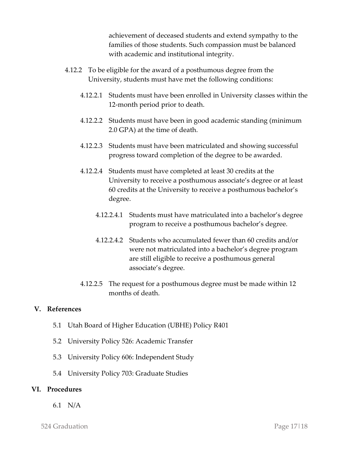achievement of deceased students and extend sympathy to the families of those students. Such compassion must be balanced with academic and institutional integrity.

- 4.12.2 To be eligible for the award of a posthumous degree from the University, students must have met the following conditions:
	- 4.12.2.1 Students must have been enrolled in University classes within the 12-month period prior to death.
	- 4.12.2.2 Students must have been in good academic standing (minimum 2.0 GPA) at the time of death.
	- 4.12.2.3 Students must have been matriculated and showing successful progress toward completion of the degree to be awarded.
	- 4.12.2.4 Students must have completed at least 30 credits at the University to receive a posthumous associate's degree or at least 60 credits at the University to receive a posthumous bachelor's degree.
		- 4.12.2.4.1 Students must have matriculated into a bachelor's degree program to receive a posthumous bachelor's degree.
		- 4.12.2.4.2 Students who accumulated fewer than 60 credits and/or were not matriculated into a bachelor's degree program are still eligible to receive a posthumous general associate's degree.
	- 4.12.2.5 The request for a posthumous degree must be made within 12 months of death.

#### **V. References**

- 5.1 Utah Board of Higher Education (UBHE) Policy R401
- 5.2 University Policy 526: Academic Transfer
- 5.3 University Policy 606: Independent Study
- 5.4 University Policy 703: Graduate Studies

#### **VI. Procedures**

6.1 N/A

524 Graduation Page 17|18